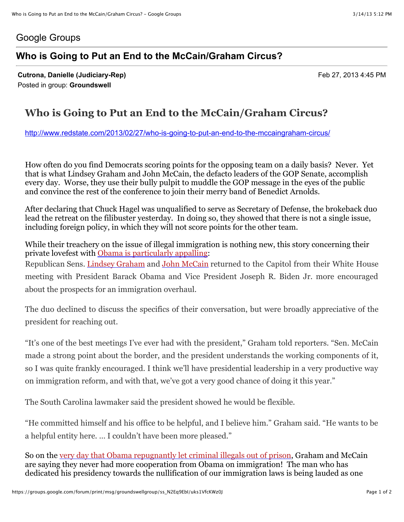## Google Groups

## **Who is Going to Put an End to the McCain/Graham Circus?**

**Cutrona, Danielle (Judiciary-Rep)** Feb 27, 2013 4:45 PM Posted in group: **Groundswell**

## **Who is Going to Put an End to the McCain/Graham Circus?**

<http://www.redstate.com/2013/02/27/who-is-going-to-put-an-end-to-the-mccaingraham-circus/>

How often do you find Democrats scoring points for the opposing team on a daily basis? Never. Yet that is what Lindsey Graham and John McCain, the defacto leaders of the GOP Senate, accomplish every day. Worse, they use their bully pulpit to muddle the GOP message in the eyes of the public and convince the rest of the conference to join their merry band of Benedict Arnolds.

After declaring that Chuck Hagel was unqualified to serve as Secretary of Defense, the brokeback duo lead the retreat on the filibuster yesterday. In doing so, they showed that there is not a single issue, including foreign policy, in which they will not score points for the other team.

While their treachery on the issue of illegal immigration is nothing new, this story concerning their private lovefest with [Obama is particularly appalling:](http://www.rollcall.com/news/mccain_graham_positive_after_immigration_meeting_with_obama-222671-1.html) Republican Sens. [Lindsey Graham](http://www.rollcall.com/members/438.html) and [John McCain](http://www.rollcall.com/members/26.html) returned to the Capitol from their White House meeting with President Barack Obama and Vice President Joseph R. Biden Jr. more encouraged about the prospects for an immigration overhaul.

The duo declined to discuss the specifics of their conversation, but were broadly appreciative of the president for reaching out.

"It's one of the best meetings I've ever had with the president," Graham told reporters. "Sen. McCain made a strong point about the border, and the president understands the working components of it, so I was quite frankly encouraged. I think we'll have presidential leadership in a very productive way on immigration reform, and with that, we've got a very good chance of doing it this year."

The South Carolina lawmaker said the president showed he would be flexible.

"He committed himself and his office to be helpful, and I believe him." Graham said. "He wants to be a helpful entity here. … I couldn't have been more pleased."

So on the [very day that Obama repugnantly let criminal illegals out of prison,](http://www.latimes.com/news/politics/la-pn-detained-immigrants-sequester-20130226,0,7739089.story) Graham and McCain are saying they never had more cooperation from Obama on immigration! The man who has dedicated his presidency towards the nullification of our immigration laws is being lauded as one